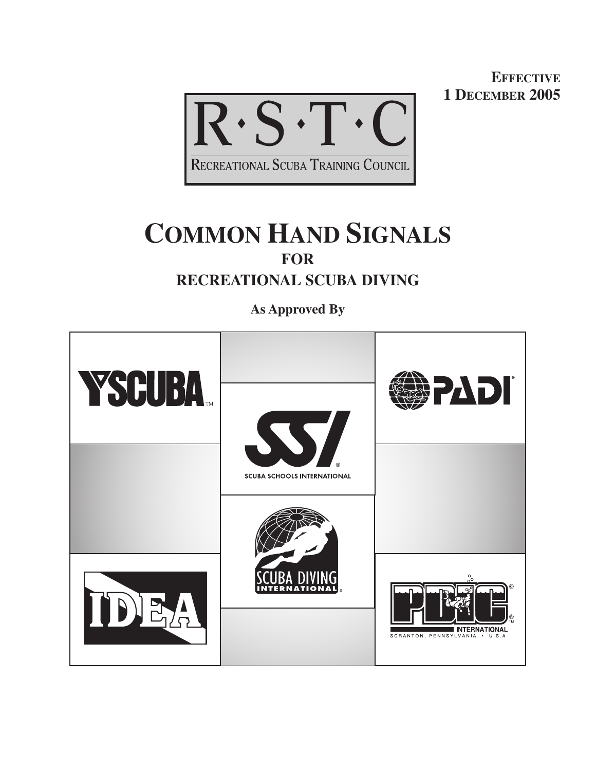**EFFECTIVE 1 DECEMBER 2005**



# **COMMON HAND SIGNALS FOR RECREATIONAL SCUBA DIVING**

**As Approved By**

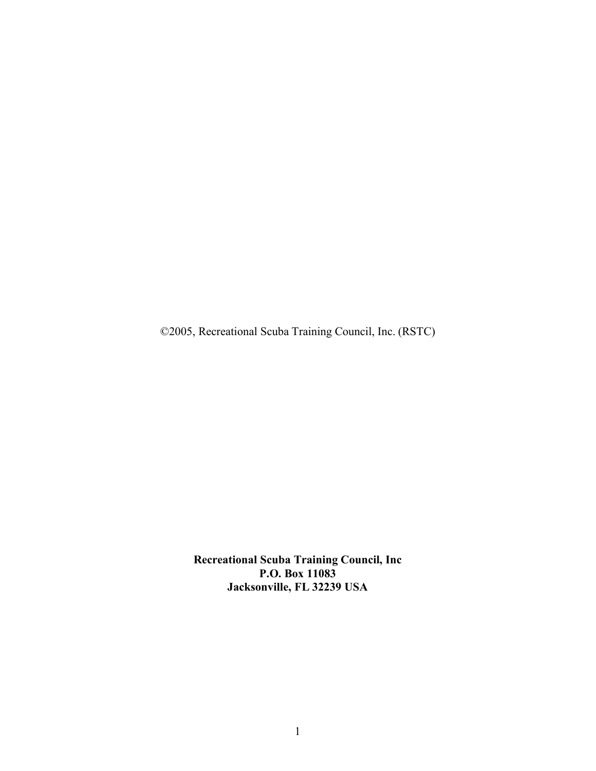©2005, Recreational Scuba Training Council, Inc. (RSTC)

**Recreational Scuba Training Council, Inc P.O. Box 11083 Jacksonville, FL 32239 USA**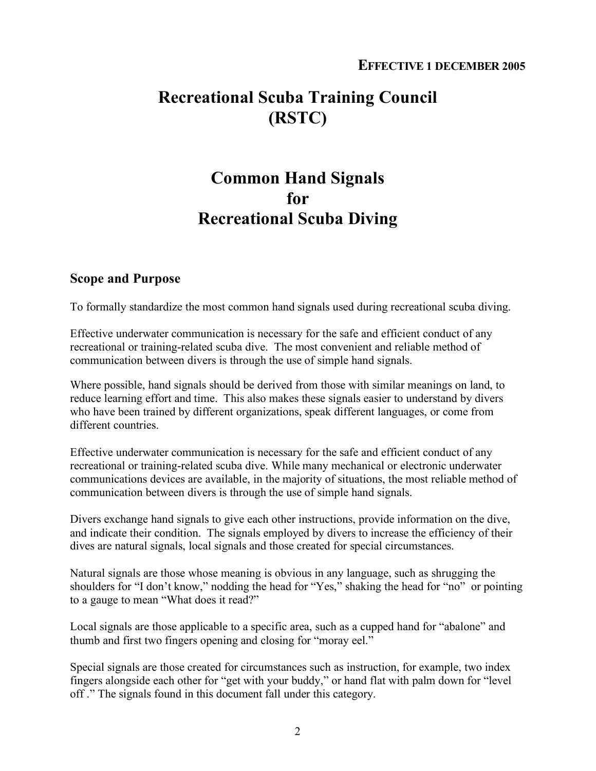## **Recreational Scuba Training Council (RSTC)**

## **Common Hand Signals for Recreational Scuba Diving**

#### **Scope and Purpose**

To formally standardize the most common hand signals used during recreational scuba diving.

Effective underwater communication is necessary for the safe and efficient conduct of any recreational or training-related scuba dive. The most convenient and reliable method of communication between divers is through the use of simple hand signals.

Where possible, hand signals should be derived from those with similar meanings on land, to reduce learning effort and time. This also makes these signals easier to understand by divers who have been trained by different organizations, speak different languages, or come from different countries.

Effective underwater communication is necessary for the safe and efficient conduct of any recreational or training-related scuba dive. While many mechanical or electronic underwater communications devices are available, in the majority of situations, the most reliable method of communication between divers is through the use of simple hand signals.

Divers exchange hand signals to give each other instructions, provide information on the dive, and indicate their condition. The signals employed by divers to increase the efficiency of their dives are natural signals, local signals and those created for special circumstances.

Natural signals are those whose meaning is obvious in any language, such as shrugging the shoulders for "I don't know," nodding the head for "Yes," shaking the head for "no" or pointing to a gauge to mean "What does it read?"

Local signals are those applicable to a specific area, such as a cupped hand for "abalone" and thumb and first two fingers opening and closing for "moray eel."

Special signals are those created for circumstances such as instruction, for example, two index fingers alongside each other for "get with your buddy," or hand flat with palm down for "level off ." The signals found in this document fall under this category.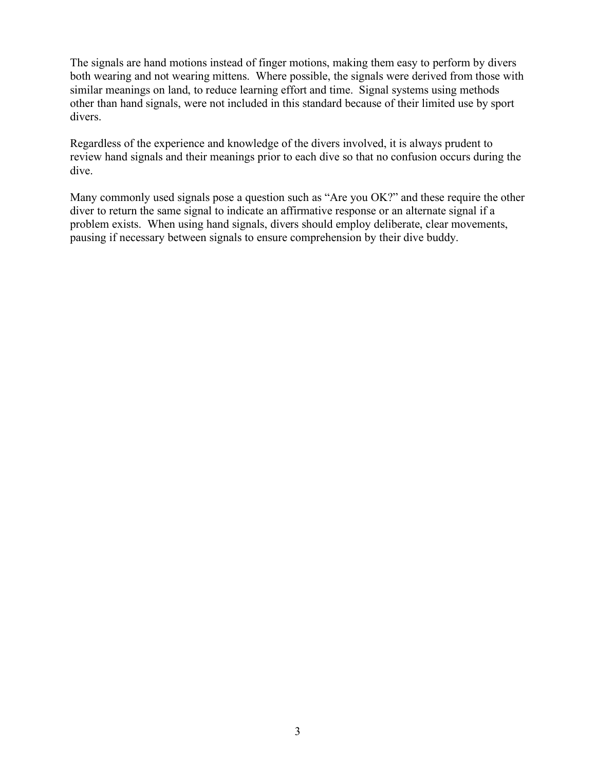The signals are hand motions instead of finger motions, making them easy to perform by divers both wearing and not wearing mittens. Where possible, the signals were derived from those with similar meanings on land, to reduce learning effort and time. Signal systems using methods other than hand signals, were not included in this standard because of their limited use by sport divers.

Regardless of the experience and knowledge of the divers involved, it is always prudent to review hand signals and their meanings prior to each dive so that no confusion occurs during the dive.

Many commonly used signals pose a question such as "Are you OK?" and these require the other diver to return the same signal to indicate an affirmative response or an alternate signal if a problem exists. When using hand signals, divers should employ deliberate, clear movements, pausing if necessary between signals to ensure comprehension by their dive buddy.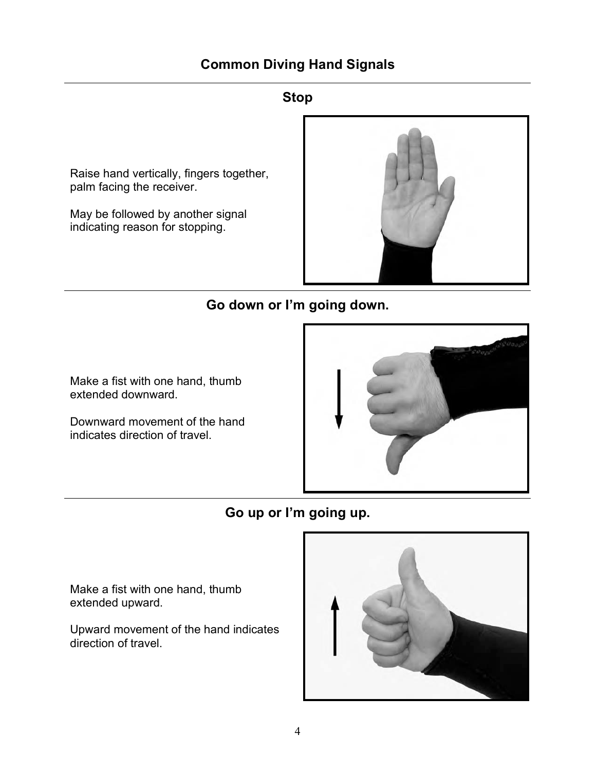### **Stop**

Raise hand vertically, fingers together, palm facing the receiver.

May be followed by another signal indicating reason for stopping.



## **Go down or I'm going down.**

Make a fist with one hand, thumb extended downward.

Downward movement of the hand indicates direction of travel.



**Go up or I'm going up.**

Make a fist with one hand, thumb extended upward.

Upward movement of the hand indicates direction of travel.

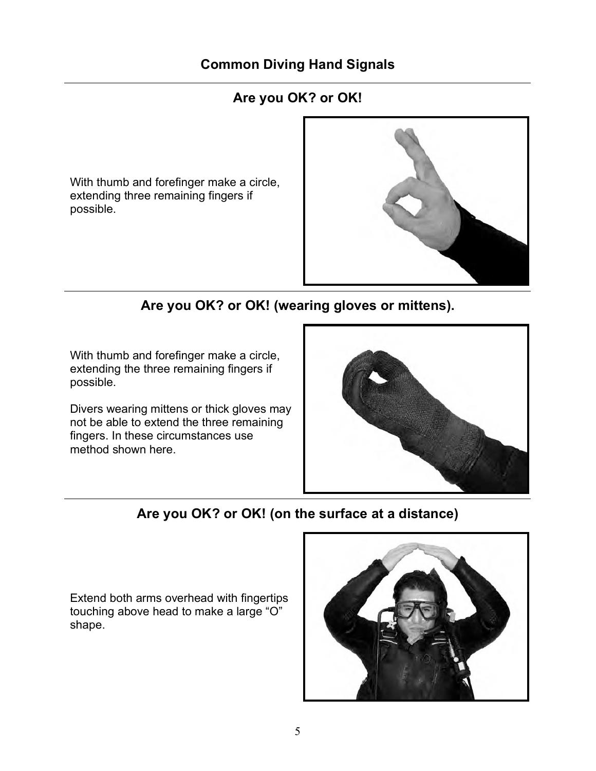## **Are you OK? or OK!**

With thumb and forefinger make a circle, extending three remaining fingers if possible.



## **Are you OK? or OK! (wearing gloves or mittens).**

With thumb and forefinger make a circle, extending the three remaining fingers if possible.

Divers wearing mittens or thick gloves may not be able to extend the three remaining fingers. In these circumstances use method shown here.



## **Are you OK? or OK! (on the surface at a distance)**

Extend both arms overhead with fingertips touching above head to make a large "O" shape.

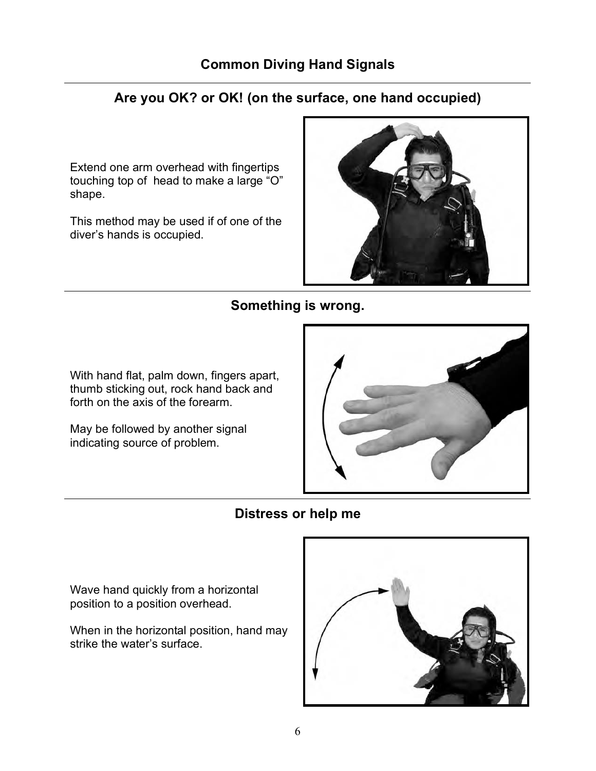## **Are you OK? or OK! (on the surface, one hand occupied)**

Extend one arm overhead with fingertips touching top of head to make a large "O" shape.

This method may be used if of one of the diver's hands is occupied.



## **Something is wrong.**

With hand flat, palm down, fingers apart, thumb sticking out, rock hand back and forth on the axis of the forearm.

May be followed by another signal indicating source of problem.



## **Distress or help me**

Wave hand quickly from a horizontal position to a position overhead.

When in the horizontal position, hand may strike the water's surface.

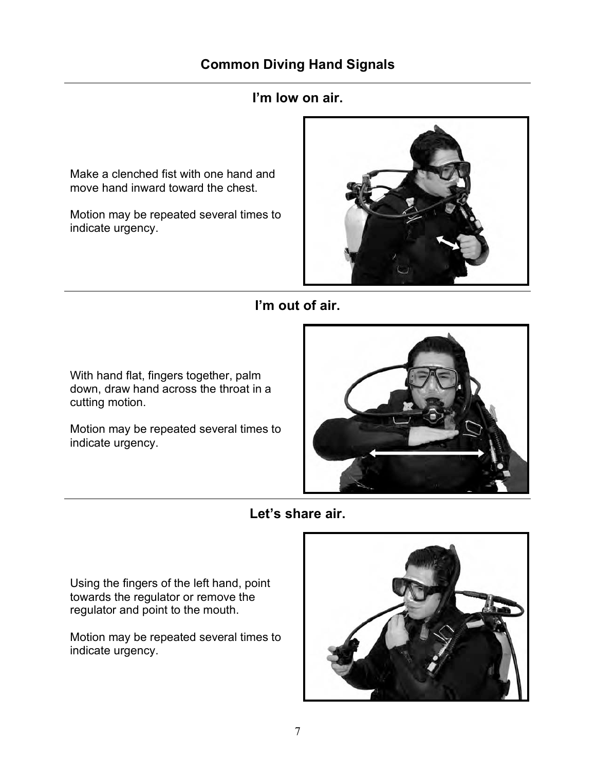## **I'm low on air.**

Make a clenched fist with one hand and move hand inward toward the chest.

Motion may be repeated several times to indicate urgency.



### **I'm out of air.**

With hand flat, fingers together, palm down, draw hand across the throat in a cutting motion.

Motion may be repeated several times to indicate urgency.



**Let's share air.**

Using the fingers of the left hand, point towards the regulator or remove the regulator and point to the mouth.

Motion may be repeated several times to indicate urgency.

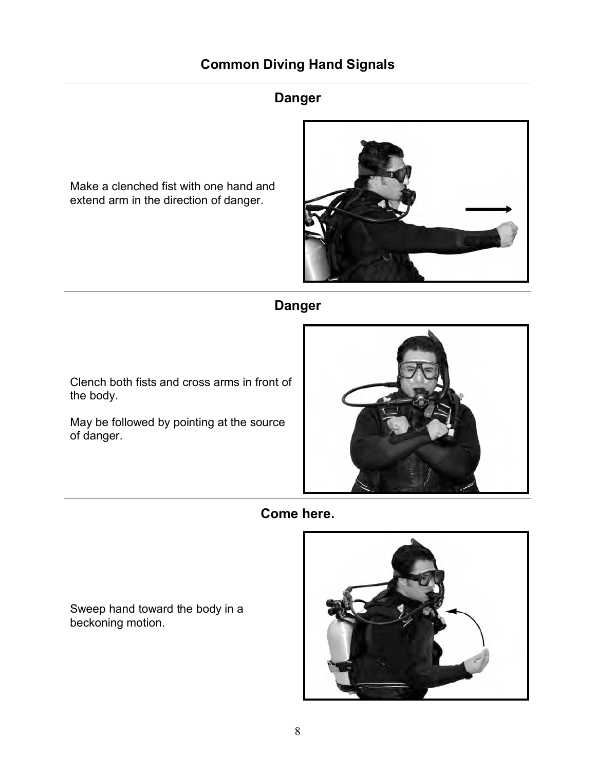## **Danger**

Make a clenched fist with one hand and extend arm in the direction of danger.



## **Danger**

Clench both fists and cross arms in front of the body.

May be followed by pointing at the source of danger.



**Come here.**

Sweep hand toward the body in a beckoning motion.

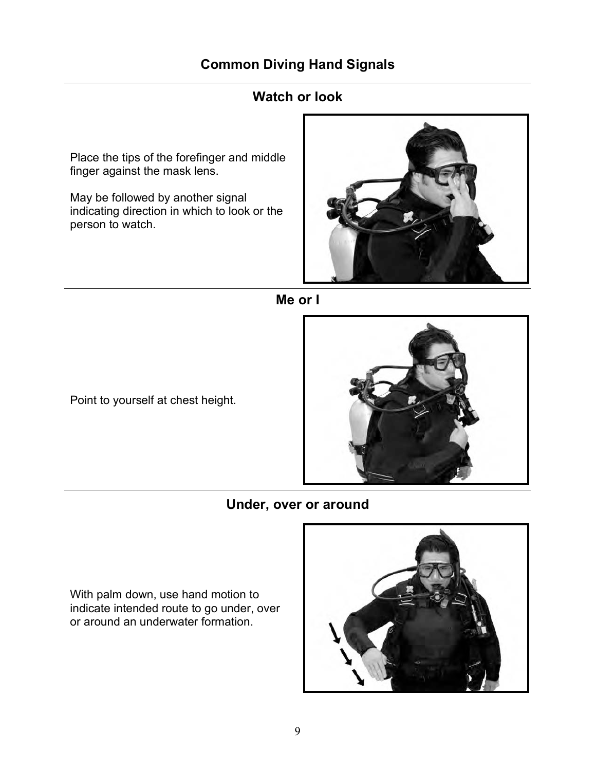### **Watch or look**

Place the tips of the forefinger and middle finger against the mask lens.

May be followed by another signal indicating direction in which to look or the person to watch.





Point to yourself at chest height.



### **Under, over or around**

With palm down, use hand motion to indicate intended route to go under, over or around an underwater formation.

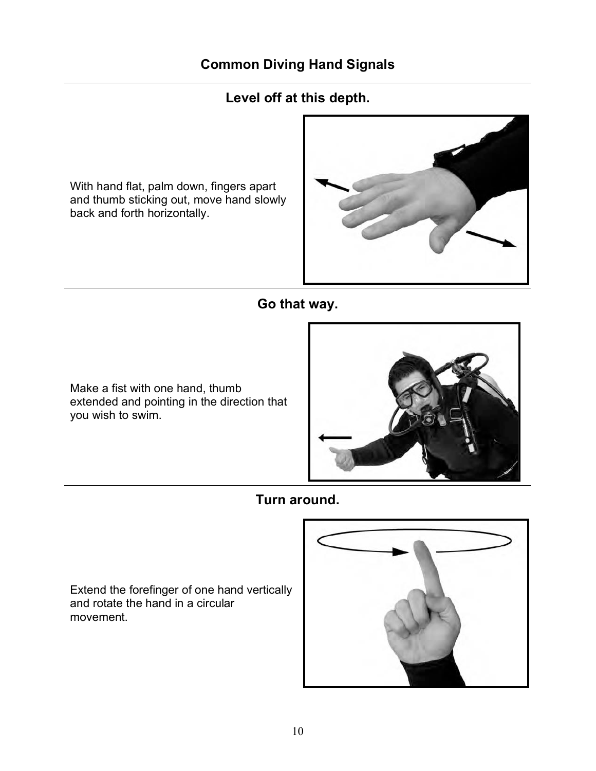## **Level off at this depth.**

With hand flat, palm down, fingers apart and thumb sticking out, move hand slowly back and forth horizontally.



## **Go that way.**

Make a fist with one hand, thumb extended and pointing in the direction that you wish to swim.



**Turn around.**

Extend the forefinger of one hand vertically and rotate the hand in a circular movement.

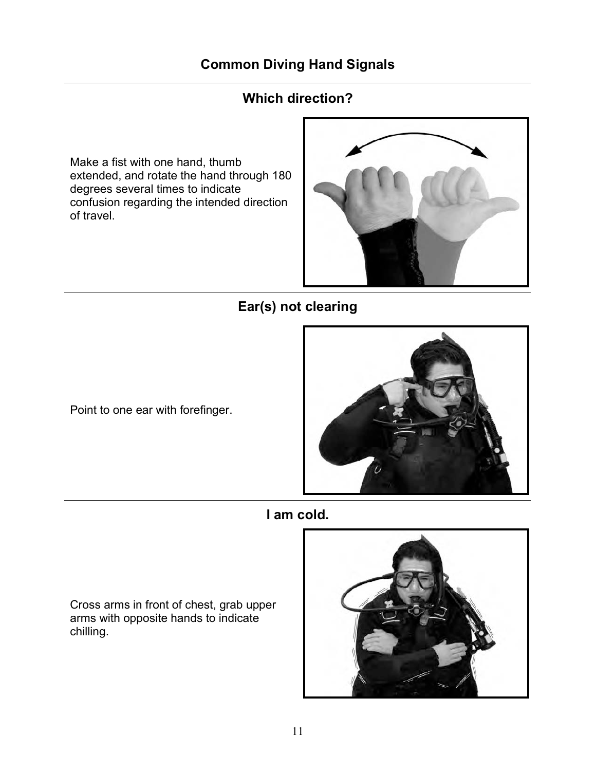## **Which direction?**

Make a fist with one hand, thumb extended, and rotate the hand through 180 degrees several times to indicate confusion regarding the intended direction of travel.



## **Ear(s) not clearing**

Point to one ear with forefinger.



**I am cold.**

Cross arms in front of chest, grab upper arms with opposite hands to indicate chilling.

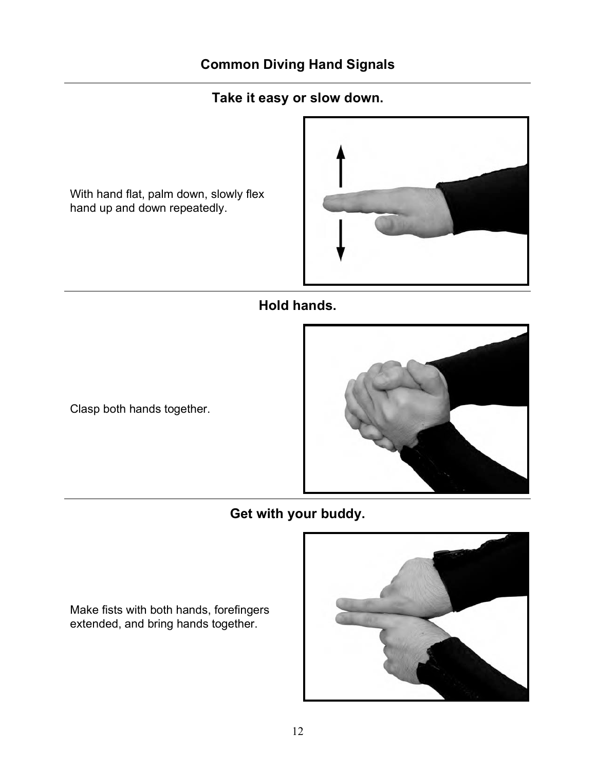## **Take it easy or slow down.**

With hand flat, palm down, slowly flex hand up and down repeatedly.



## **Hold hands.**

Clasp both hands together.



**Get with your buddy.**

Make fists with both hands, forefingers extended, and bring hands together.

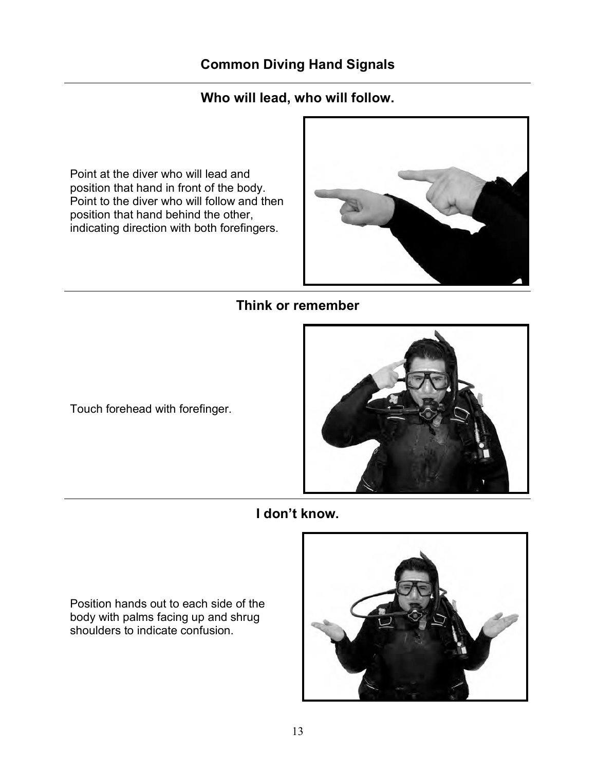## **Who will lead, who will follow.**

Point at the diver who will lead and position that hand in front of the body. Point to the diver who will follow and then position that hand behind the other, indicating direction with both forefingers.



## **Think or remember**

Touch forehead with forefinger.



**I don't know.**

Position hands out to each side of the body with palms facing up and shrug shoulders to indicate confusion.

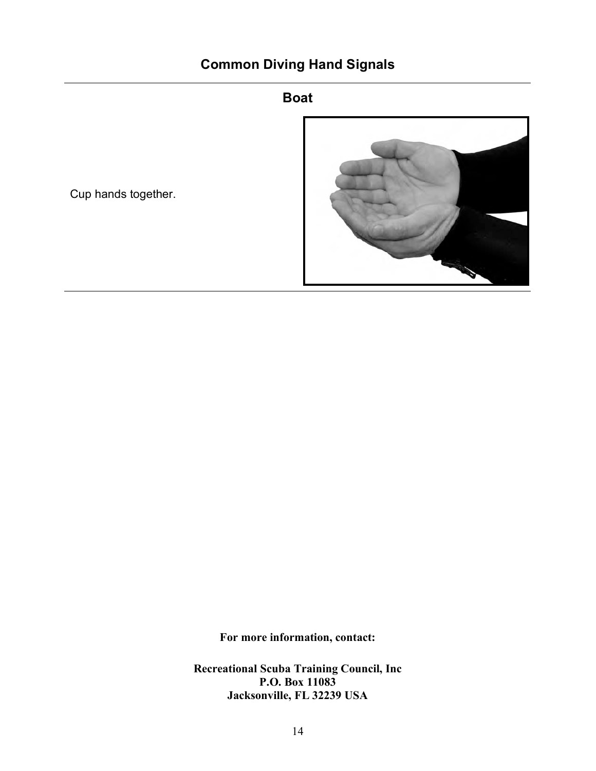### **Boat**



Cup hands together.

**For more information, contact:**

**Recreational Scuba Training Council, Inc P.O. Box 11083 Jacksonville, FL 32239 USA**